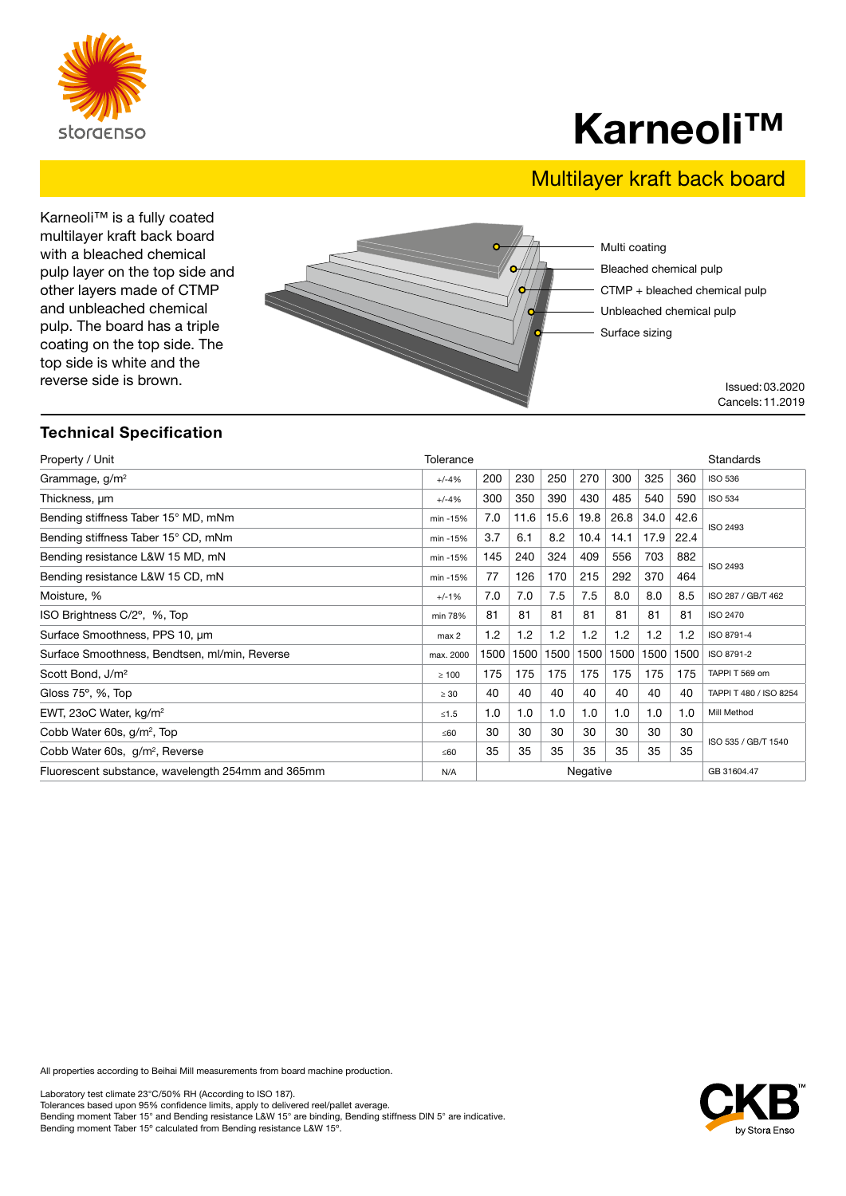

## Karneoli™

## Multilayer kraft back board

Karneoli™ is a fully coated multilayer kraft back board with a bleached chemical pulp layer on the top side and other layers made of CTMP and unbleached chemical pulp. The board has a triple coating on the top side. The top side is white and the reverse side is brown.



### Technical Specification

| Property / Unit                                   | Tolerance  |                         |      |      |      |      |      |      | Standards              |
|---------------------------------------------------|------------|-------------------------|------|------|------|------|------|------|------------------------|
| Grammage, $g/m^2$                                 | $+/-4%$    | 200                     | 230  | 250  | 270  | 300  | 325  | 360  | <b>ISO 536</b>         |
| Thickness, um                                     | $+/-4%$    | 300                     | 350  | 390  | 430  | 485  | 540  | 590  | <b>ISO 534</b>         |
| Bending stiffness Taber 15° MD, mNm               | min -15%   | 7.0                     | 11.6 | 15.6 | 19.8 | 26.8 | 34.0 | 42.6 | ISO 2493               |
| Bending stiffness Taber 15° CD, mNm               | min -15%   | 3.7                     | 6.1  | 8.2  | 10.4 | 14.1 | 17.9 | 22.4 |                        |
| Bending resistance L&W 15 MD, mN                  | min -15%   | 145                     | 240  | 324  | 409  | 556  | 703  | 882  | ISO 2493               |
| Bending resistance L&W 15 CD, mN                  | min -15%   | 77                      | 126  | 170  | 215  | 292  | 370  | 464  |                        |
| Moisture, %                                       | $+/-1%$    | 7.0                     | 7.0  | 7.5  | 7.5  | 8.0  | 8.0  | 8.5  | ISO 287 / GB/T 462     |
| ISO Brightness C/2°, %, Top                       | min 78%    | 81                      | 81   | 81   | 81   | 81   | 81   | 81   | <b>ISO 2470</b>        |
| Surface Smoothness, PPS 10, µm                    | max 2      | 1.2                     | 1.2  | 1.2  | 1.2  | 1.2  | 1.2  | 1.2  | ISO 8791-4             |
| Surface Smoothness, Bendtsen, ml/min, Reverse     | max. 2000  | 1500                    | 1500 | 1500 | 1500 | 1500 | 1500 | 1500 | ISO 8791-2             |
| Scott Bond, J/m <sup>2</sup>                      | $\geq 100$ | 175                     | 175  | 175  | 175  | 175  | 175  | 175  | TAPPI T 569 om         |
| Gloss $75^\circ$ , %, Top                         | $\geq 30$  | 40                      | 40   | 40   | 40   | 40   | 40   | 40   | TAPPI T 480 / ISO 8254 |
| EWT, 23oC Water, kg/m <sup>2</sup>                | $≤1.5$     | 1.0                     | 1.0  | 1.0  | 1.0  | 1.0  | 1.0  | 1.0  | Mill Method            |
| Cobb Water 60s, g/m <sup>2</sup> , Top            | ≤60        | 30                      | 30   | 30   | 30   | 30   | 30   | 30   | ISO 535 / GB/T 1540    |
| Cobb Water 60s, g/m <sup>2</sup> , Reverse        | ≤60        | 35                      | 35   | 35   | 35   | 35   | 35   | 35   |                        |
| Fluorescent substance, wavelength 254mm and 365mm | N/A        | Negative<br>GB 31604.47 |      |      |      |      |      |      |                        |

All properties according to Beihai Mill measurements from board machine production.

Laboratory test climate 23°C/50% RH (According to ISO 187). Tolerances based upon 95% confidence limits, apply to delivered reel/pallet average. Bending moment Taber 15° and Bending resistance L&W 15° are binding, Bending stiffness DIN 5° are indicative. Bending moment Taber 15º calculated from Bending resistance L&W 15º.